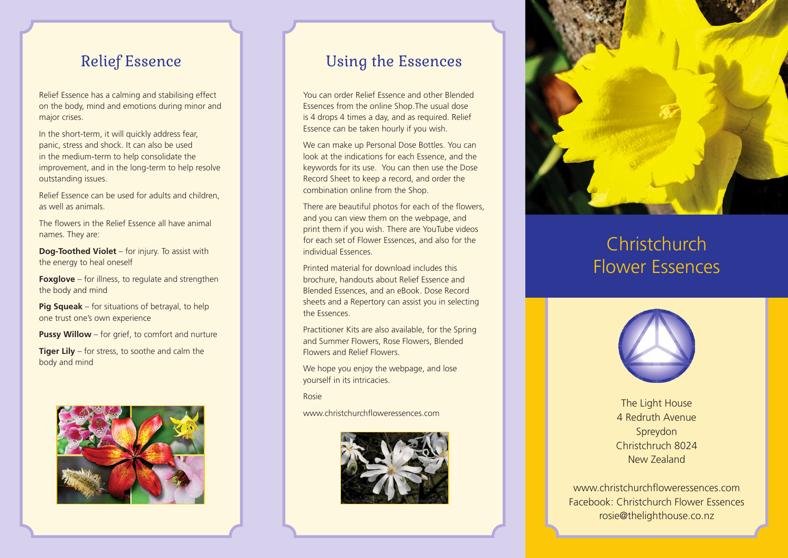Relief Essence has a calming and stabilising effect on the body, mind and emotions during minor and major crises.

In the short-term, it will quickly address fear, panic, stress and shock. It can also be used in the medium-term to help consolidate the improvement, and in the long-term to help resolve outstanding issues.

Relief Essence can be used for adults and children, as well as animals.

The flowers in the Relief Essence all have animal names. They are:

**Dog-Toothed Violet** – for injury. To assist with the energy to heal oneself

**Foxglove** – for illness, to regulate and strengthen the body and mind

**Pig Squeak** – for situations of betrayal, to help one trust one's own experience

**Pussy Willow** – for grief, to comfort and nurture

**Tiger Lily** – for stress, to soothe and calm the body and mind



### Relief Essence **National Essences**

You can order Relief Essence and other Blended Essences from the online Shop.The usual dose is 4 drops 4 times a day, and as required. Relief Essence can be taken hourly if you wish.

We can make up Personal Dose Bottles. You can look at the indications for each Essence, and the keywords for its use. You can then use the Dose Record Sheet to keep a record, and order the combination online from the Shop.

There are beautiful photos for each of the flowers, and you can view them on the webpage, and print them if you wish. There are YouTube videos for each set of Flower Essences, and also for the individual Essences.

Printed material for download includes this brochure, handouts about Relief Essence and Blended Essences, and an eBook. Dose Record sheets and a Repertory can assist you in selecting the Essences.

Practitioner Kits are also available, for the Spring and Summer Flowers, Rose Flowers, Blended Flowers and Relief Flowers.

We hope you enjoy the webpage, and lose yourself in its intricacies.

Rosie

www.christchurchfloweressences.com





# **Christchurch** Flower Essences



The Light House 4 Redruth Avenue Spreydon Christchruch 8024 New Zealand

www.christchurchfloweressences.com Facebook: Christchurch Flower Essences rosie@thelighthouse.co.nz